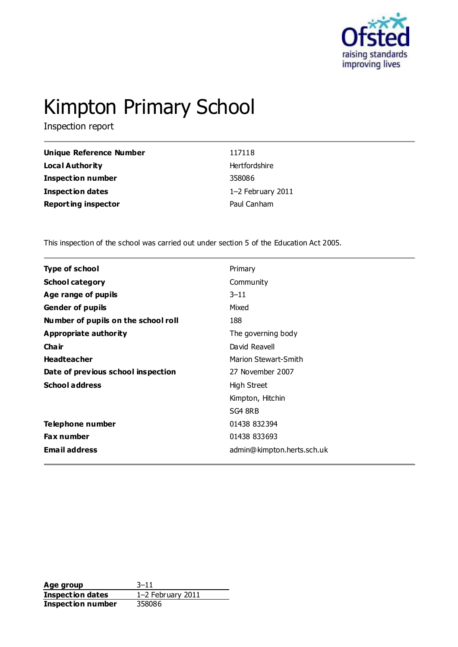

# Kimpton Primary School

Inspection report

| Unique Reference Number    | 117118            |
|----------------------------|-------------------|
| <b>Local Authority</b>     | Hertfordshire     |
| <b>Inspection number</b>   | 358086            |
| <b>Inspection dates</b>    | 1-2 February 2011 |
| <b>Reporting inspector</b> | Paul Canham       |

This inspection of the school was carried out under section 5 of the Education Act 2005.

| <b>Type of school</b>               | Primary                     |
|-------------------------------------|-----------------------------|
| <b>School category</b>              | Community                   |
| Age range of pupils                 | $3 - 11$                    |
| <b>Gender of pupils</b>             | Mixed                       |
| Number of pupils on the school roll | 188                         |
| Appropriate authority               | The governing body          |
| Cha ir                              | David Reavell               |
| <b>Headteacher</b>                  | <b>Marion Stewart-Smith</b> |
| Date of previous school inspection  | 27 November 2007            |
| <b>School address</b>               | High Street                 |
|                                     | Kimpton, Hitchin            |
|                                     | SG4 8RB                     |
| <b>Telephone number</b>             | 01438 832394                |
| <b>Fax number</b>                   | 01438 833693                |
| <b>Email address</b>                | admin@kimpton.herts.sch.uk  |
|                                     |                             |

**Age group** 3–11<br> **Inspection dates** 1–2 February 2011 **Inspection dates Inspection number** 358086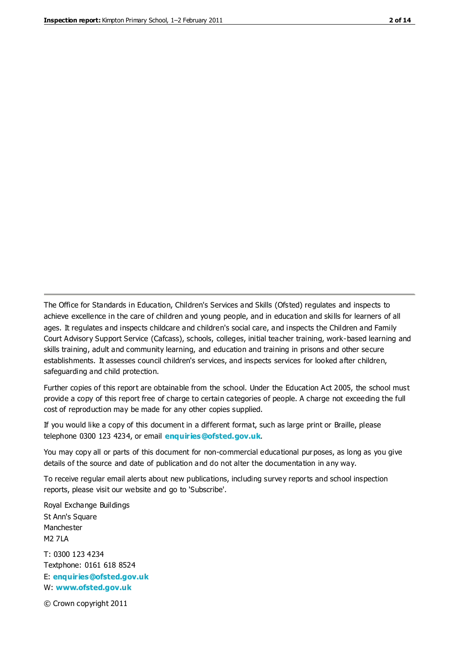The Office for Standards in Education, Children's Services and Skills (Ofsted) regulates and inspects to achieve excellence in the care of children and young people, and in education and skills for learners of all ages. It regulates and inspects childcare and children's social care, and inspects the Children and Family Court Advisory Support Service (Cafcass), schools, colleges, initial teacher training, work-based learning and skills training, adult and community learning, and education and training in prisons and other secure establishments. It assesses council children's services, and inspects services for looked after children, safeguarding and child protection.

Further copies of this report are obtainable from the school. Under the Education Act 2005, the school must provide a copy of this report free of charge to certain categories of people. A charge not exceeding the full cost of reproduction may be made for any other copies supplied.

If you would like a copy of this document in a different format, such as large print or Braille, please telephone 0300 123 4234, or email **[enquiries@ofsted.gov.uk](mailto:enquiries@ofsted.gov.uk)**.

You may copy all or parts of this document for non-commercial educational purposes, as long as you give details of the source and date of publication and do not alter the documentation in any way.

To receive regular email alerts about new publications, including survey reports and school inspection reports, please visit our website and go to 'Subscribe'.

Royal Exchange Buildings St Ann's Square Manchester M2 7LA T: 0300 123 4234 Textphone: 0161 618 8524 E: **[enquiries@ofsted.gov.uk](mailto:enquiries@ofsted.gov.uk)**

W: **[www.ofsted.gov.uk](http://www.ofsted.gov.uk/)**

© Crown copyright 2011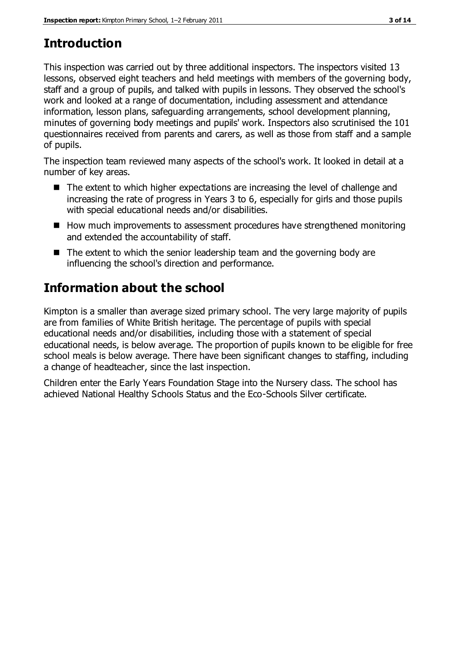# **Introduction**

This inspection was carried out by three additional inspectors. The inspectors visited 13 lessons, observed eight teachers and held meetings with members of the governing body, staff and a group of pupils, and talked with pupils in lessons. They observed the school's work and looked at a range of documentation, including assessment and attendance information, lesson plans, safeguarding arrangements, school development planning, minutes of governing body meetings and pupils' work. Inspectors also scrutinised the 101 questionnaires received from parents and carers, as well as those from staff and a sample of pupils.

The inspection team reviewed many aspects of the school's work. It looked in detail at a number of key areas.

- The extent to which higher expectations are increasing the level of challenge and increasing the rate of progress in Years 3 to 6, especially for girls and those pupils with special educational needs and/or disabilities.
- How much improvements to assessment procedures have strengthened monitoring and extended the accountability of staff.
- The extent to which the senior leadership team and the governing body are influencing the school's direction and performance.

# **Information about the school**

Kimpton is a smaller than average sized primary school. The very large majority of pupils are from families of White British heritage. The percentage of pupils with special educational needs and/or disabilities, including those with a statement of special educational needs, is below average. The proportion of pupils known to be eligible for free school meals is below average. There have been significant changes to staffing, including a change of headteacher, since the last inspection.

Children enter the Early Years Foundation Stage into the Nursery class. The school has achieved National Healthy Schools Status and the Eco-Schools Silver certificate.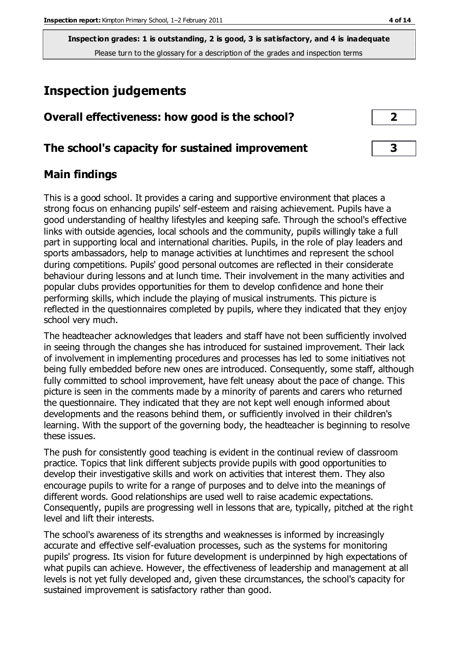# **Inspection judgements**

# **Overall effectiveness: how good is the school? 2**

## **The school's capacity for sustained improvement 3**

## **Main findings**

This is a good school. It provides a caring and supportive environment that places a strong focus on enhancing pupils' self-esteem and raising achievement. Pupils have a good understanding of healthy lifestyles and keeping safe. Through the school's effective links with outside agencies, local schools and the community, pupils willingly take a full part in supporting local and international charities. Pupils, in the role of play leaders and sports ambassadors, help to manage activities at lunchtimes and represent the school during competitions. Pupils' good personal outcomes are reflected in their considerate behaviour during lessons and at lunch time. Their involvement in the many activities and popular clubs provides opportunities for them to develop confidence and hone their performing skills, which include the playing of musical instruments. This picture is reflected in the questionnaires completed by pupils, where they indicated that they enjoy school very much.

The headteacher acknowledges that leaders and staff have not been sufficiently involved in seeing through the changes she has introduced for sustained improvement. Their lack of involvement in implementing procedures and processes has led to some initiatives not being fully embedded before new ones are introduced. Consequently, some staff, although fully committed to school improvement, have felt uneasy about the pace of change. This picture is seen in the comments made by a minority of parents and carers who returned the questionnaire. They indicated that they are not kept well enough informed about developments and the reasons behind them, or sufficiently involved in their children's learning. With the support of the governing body, the headteacher is beginning to resolve these issues.

The push for consistently good teaching is evident in the continual review of classroom practice. Topics that link different subjects provide pupils with good opportunities to develop their investigative skills and work on activities that interest them. They also encourage pupils to write for a range of purposes and to delve into the meanings of different words. Good relationships are used well to raise academic expectations. Consequently, pupils are progressing well in lessons that are, typically, pitched at the right level and lift their interests.

The school's awareness of its strengths and weaknesses is informed by increasingly accurate and effective self-evaluation processes, such as the systems for monitoring pupils' progress. Its vision for future development is underpinned by high expectations of what pupils can achieve. However, the effectiveness of leadership and management at all levels is not yet fully developed and, given these circumstances, the school's capacity for sustained improvement is satisfactory rather than good.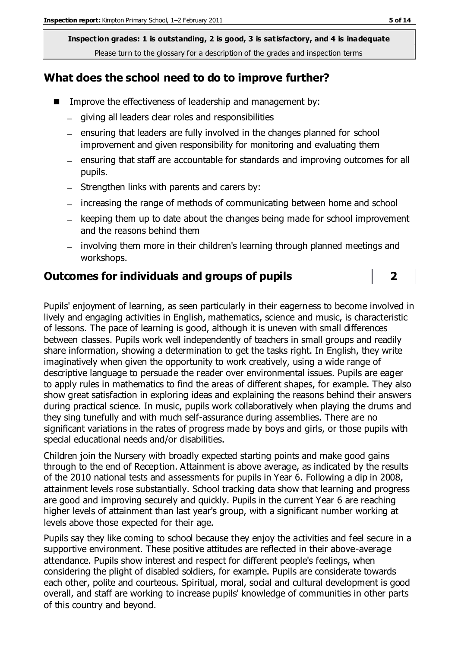## **What does the school need to do to improve further?**

- Improve the effectiveness of leadership and management by:
	- giving all leaders clear roles and responsibilities
	- $=$  ensuring that leaders are fully involved in the changes planned for school improvement and given responsibility for monitoring and evaluating them
	- ensuring that staff are accountable for standards and improving outcomes for all pupils.
	- $-$  Strengthen links with parents and carers by:
	- increasing the range of methods of communicating between home and school
	- $-$  keeping them up to date about the changes being made for school improvement and the reasons behind them
	- involving them more in their children's learning through planned meetings and workshops.

## **Outcomes for individuals and groups of pupils 2**

Pupils' enjoyment of learning, as seen particularly in their eagerness to become involved in lively and engaging activities in English, mathematics, science and music, is characteristic of lessons. The pace of learning is good, although it is uneven with small differences between classes. Pupils work well independently of teachers in small groups and readily share information, showing a determination to get the tasks right. In English, they write imaginatively when given the opportunity to work creatively, using a wide range of descriptive language to persuade the reader over environmental issues. Pupils are eager to apply rules in mathematics to find the areas of different shapes, for example. They also show great satisfaction in exploring ideas and explaining the reasons behind their answers during practical science. In music, pupils work collaboratively when playing the drums and they sing tunefully and with much self-assurance during assemblies. There are no significant variations in the rates of progress made by boys and girls, or those pupils with special educational needs and/or disabilities.

Children join the Nursery with broadly expected starting points and make good gains through to the end of Reception. Attainment is above average, as indicated by the results of the 2010 national tests and assessments for pupils in Year 6. Following a dip in 2008, attainment levels rose substantially. School tracking data show that learning and progress are good and improving securely and quickly. Pupils in the current Year 6 are reaching higher levels of attainment than last year's group, with a significant number working at levels above those expected for their age.

Pupils say they like coming to school because they enjoy the activities and feel secure in a supportive environment. These positive attitudes are reflected in their above-average attendance. Pupils show interest and respect for different people's feelings, when considering the plight of disabled soldiers, for example. Pupils are considerate towards each other, polite and courteous. Spiritual, moral, social and cultural development is good overall, and staff are working to increase pupils' knowledge of communities in other parts of this country and beyond.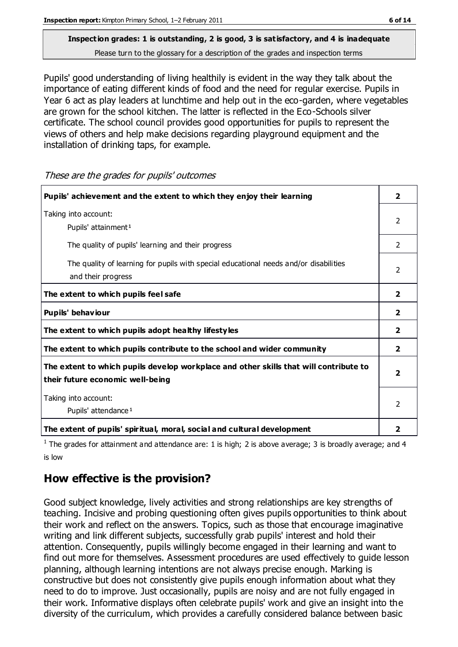Pupils' good understanding of living healthily is evident in the way they talk about the importance of eating different kinds of food and the need for regular exercise. Pupils in Year 6 act as play leaders at lunchtime and help out in the eco-garden, where vegetables are grown for the school kitchen. The latter is reflected in the Eco-Schools silver certificate. The school council provides good opportunities for pupils to represent the views of others and help make decisions regarding playground equipment and the installation of drinking taps, for example.

**Pupils' achievement and the extent to which they enjoy their learning 2** Taking into account: Pupils' attainment<sup>1</sup> 2 The quality of pupils' learning and their progress 2 The quality of learning for pupils with special educational needs and/or disabilities and their progress 2 **The extent to which pupils feel safe 2 Pupils' behaviour 2 The extent to which pupils adopt healthy lifestyles 2 The extent to which pupils contribute to the school and wider community 2 The extent to which pupils develop workplace and other skills that will contribute to their future economic well-being 2** Taking into account: Pupils' attendance<sup>1</sup> 2 **The extent of pupils' spiritual, moral, social and cultural development 2**

These are the grades for pupils' outcomes

<sup>1</sup> The grades for attainment and attendance are: 1 is high; 2 is above average; 3 is broadly average; and 4 is low

# **How effective is the provision?**

Good subject knowledge, lively activities and strong relationships are key strengths of teaching. Incisive and probing questioning often gives pupils opportunities to think about their work and reflect on the answers. Topics, such as those that encourage imaginative writing and link different subjects, successfully grab pupils' interest and hold their attention. Consequently, pupils willingly become engaged in their learning and want to find out more for themselves. Assessment procedures are used effectively to guide lesson planning, although learning intentions are not always precise enough. Marking is constructive but does not consistently give pupils enough information about what they need to do to improve. Just occasionally, pupils are noisy and are not fully engaged in their work. Informative displays often celebrate pupils' work and give an insight into the diversity of the curriculum, which provides a carefully considered balance between basic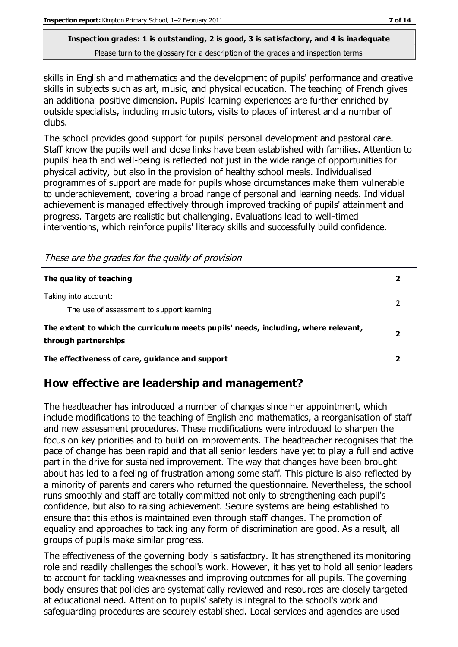skills in English and mathematics and the development of pupils' performance and creative skills in subjects such as art, music, and physical education. The teaching of French gives an additional positive dimension. Pupils' learning experiences are further enriched by outside specialists, including music tutors, visits to places of interest and a number of clubs.

The school provides good support for pupils' personal development and pastoral care. Staff know the pupils well and close links have been established with families. Attention to pupils' health and well-being is reflected not just in the wide range of opportunities for physical activity, but also in the provision of healthy school meals. Individualised programmes of support are made for pupils whose circumstances make them vulnerable to underachievement, covering a broad range of personal and learning needs. Individual achievement is managed effectively through improved tracking of pupils' attainment and progress. Targets are realistic but challenging. Evaluations lead to well-timed interventions, which reinforce pupils' literacy skills and successfully build confidence.

| The quality of teaching                                                                                    |  |
|------------------------------------------------------------------------------------------------------------|--|
| Taking into account:<br>The use of assessment to support learning                                          |  |
| The extent to which the curriculum meets pupils' needs, including, where relevant,<br>through partnerships |  |
| The effectiveness of care, guidance and support                                                            |  |

These are the grades for the quality of provision

# **How effective are leadership and management?**

The headteacher has introduced a number of changes since her appointment, which include modifications to the teaching of English and mathematics, a reorganisation of staff and new assessment procedures. These modifications were introduced to sharpen the focus on key priorities and to build on improvements. The headteacher recognises that the pace of change has been rapid and that all senior leaders have yet to play a full and active part in the drive for sustained improvement. The way that changes have been brought about has led to a feeling of frustration among some staff. This picture is also reflected by a minority of parents and carers who returned the questionnaire. Nevertheless, the school runs smoothly and staff are totally committed not only to strengthening each pupil's confidence, but also to raising achievement. Secure systems are being established to ensure that this ethos is maintained even through staff changes. The promotion of equality and approaches to tackling any form of discrimination are good. As a result, all groups of pupils make similar progress.

The effectiveness of the governing body is satisfactory. It has strengthened its monitoring role and readily challenges the school's work. However, it has yet to hold all senior leaders to account for tackling weaknesses and improving outcomes for all pupils. The governing body ensures that policies are systematically reviewed and resources are closely targeted at educational need. Attention to pupils' safety is integral to the school's work and safeguarding procedures are securely established. Local services and agencies are used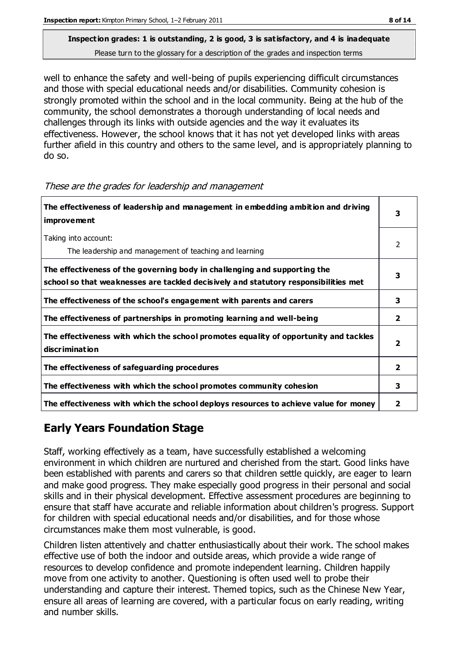well to enhance the safety and well-being of pupils experiencing difficult circumstances and those with special educational needs and/or disabilities. Community cohesion is strongly promoted within the school and in the local community. Being at the hub of the community, the school demonstrates a thorough understanding of local needs and challenges through its links with outside agencies and the way it evaluates its effectiveness. However, the school knows that it has not yet developed links with areas further afield in this country and others to the same level, and is appropriately planning to do so.

| The effectiveness of leadership and management in embedding ambition and driving<br>improvement                                                                  |                |
|------------------------------------------------------------------------------------------------------------------------------------------------------------------|----------------|
| Taking into account:<br>The leadership and management of teaching and learning                                                                                   | 2              |
| The effectiveness of the governing body in challenging and supporting the<br>school so that weaknesses are tackled decisively and statutory responsibilities met | 3              |
| The effectiveness of the school's engagement with parents and carers                                                                                             | 3              |
| The effectiveness of partnerships in promoting learning and well-being                                                                                           | $\overline{2}$ |
| The effectiveness with which the school promotes equality of opportunity and tackles<br>discrimination                                                           | 2              |
| The effectiveness of safeguarding procedures                                                                                                                     |                |
| The effectiveness with which the school promotes community cohesion                                                                                              |                |
| The effectiveness with which the school deploys resources to achieve value for money                                                                             |                |

#### These are the grades for leadership and management

# **Early Years Foundation Stage**

Staff, working effectively as a team, have successfully established a welcoming environment in which children are nurtured and cherished from the start. Good links have been established with parents and carers so that children settle quickly, are eager to learn and make good progress. They make especially good progress in their personal and social skills and in their physical development. Effective assessment procedures are beginning to ensure that staff have accurate and reliable information about children's progress. Support for children with special educational needs and/or disabilities, and for those whose circumstances make them most vulnerable, is good.

Children listen attentively and chatter enthusiastically about their work. The school makes effective use of both the indoor and outside areas, which provide a wide range of resources to develop confidence and promote independent learning. Children happily move from one activity to another. Questioning is often used well to probe their understanding and capture their interest. Themed topics, such as the Chinese New Year, ensure all areas of learning are covered, with a particular focus on early reading, writing and number skills.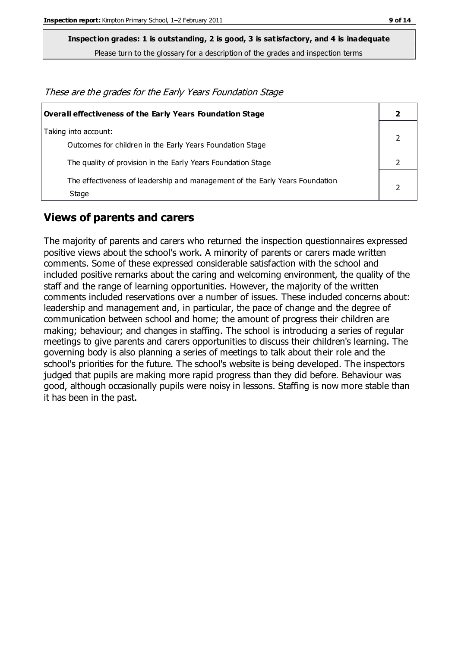**Inspection grades: 1 is outstanding, 2 is good, 3 is satisfactory, and 4 is inadequate**

Please turn to the glossary for a description of the grades and inspection terms

These are the grades for the Early Years Foundation Stage

| Overall effectiveness of the Early Years Foundation Stage                             |  |  |
|---------------------------------------------------------------------------------------|--|--|
| Taking into account:<br>Outcomes for children in the Early Years Foundation Stage     |  |  |
| The quality of provision in the Early Years Foundation Stage                          |  |  |
| The effectiveness of leadership and management of the Early Years Foundation<br>Stage |  |  |

#### **Views of parents and carers**

The majority of parents and carers who returned the inspection questionnaires expressed positive views about the school's work. A minority of parents or carers made written comments. Some of these expressed considerable satisfaction with the school and included positive remarks about the caring and welcoming environment, the quality of the staff and the range of learning opportunities. However, the majority of the written comments included reservations over a number of issues. These included concerns about: leadership and management and, in particular, the pace of change and the degree of communication between school and home; the amount of progress their children are making; behaviour; and changes in staffing. The school is introducing a series of regular meetings to give parents and carers opportunities to discuss their children's learning. The governing body is also planning a series of meetings to talk about their role and the school's priorities for the future. The school's website is being developed. The inspectors judged that pupils are making more rapid progress than they did before. Behaviour was good, although occasionally pupils were noisy in lessons. Staffing is now more stable than it has been in the past.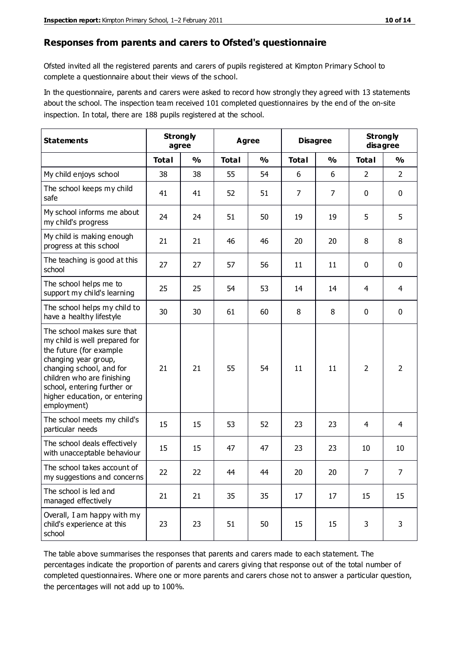#### **Responses from parents and carers to Ofsted's questionnaire**

Ofsted invited all the registered parents and carers of pupils registered at Kimpton Primary School to complete a questionnaire about their views of the school.

In the questionnaire, parents and carers were asked to record how strongly they agreed with 13 statements about the school. The inspection team received 101 completed questionnaires by the end of the on-site inspection. In total, there are 188 pupils registered at the school.

| <b>Statements</b>                                                                                                                                                                                                                                       | <b>Strongly</b><br>agree |               | Agree        |               | <b>Disagree</b> |               | <b>Strongly</b><br>disagree |                |
|---------------------------------------------------------------------------------------------------------------------------------------------------------------------------------------------------------------------------------------------------------|--------------------------|---------------|--------------|---------------|-----------------|---------------|-----------------------------|----------------|
|                                                                                                                                                                                                                                                         | <b>Total</b>             | $\frac{0}{0}$ | <b>Total</b> | $\frac{0}{0}$ | <b>Total</b>    | $\frac{0}{0}$ | <b>Total</b>                | $\frac{1}{2}$  |
| My child enjoys school                                                                                                                                                                                                                                  | 38                       | 38            | 55           | 54            | 6               | 6             | 2                           | $\overline{2}$ |
| The school keeps my child<br>safe                                                                                                                                                                                                                       | 41                       | 41            | 52           | 51            | $\overline{7}$  | 7             | $\mathbf 0$                 | $\mathbf 0$    |
| My school informs me about<br>my child's progress                                                                                                                                                                                                       | 24                       | 24            | 51           | 50            | 19              | 19            | 5                           | 5              |
| My child is making enough<br>progress at this school                                                                                                                                                                                                    | 21                       | 21            | 46           | 46            | 20              | 20            | 8                           | 8              |
| The teaching is good at this<br>school                                                                                                                                                                                                                  | 27                       | 27            | 57           | 56            | 11              | 11            | $\mathbf 0$                 | $\mathbf 0$    |
| The school helps me to<br>support my child's learning                                                                                                                                                                                                   | 25                       | 25            | 54           | 53            | 14              | 14            | 4                           | 4              |
| The school helps my child to<br>have a healthy lifestyle                                                                                                                                                                                                | 30                       | 30            | 61           | 60            | 8               | 8             | $\mathbf 0$                 | $\mathbf 0$    |
| The school makes sure that<br>my child is well prepared for<br>the future (for example<br>changing year group,<br>changing school, and for<br>children who are finishing<br>school, entering further or<br>higher education, or entering<br>employment) | 21                       | 21            | 55           | 54            | 11              | 11            | $\overline{2}$              | $\overline{2}$ |
| The school meets my child's<br>particular needs                                                                                                                                                                                                         | 15                       | 15            | 53           | 52            | 23              | 23            | 4                           | 4              |
| The school deals effectively<br>with unacceptable behaviour                                                                                                                                                                                             | 15                       | 15            | 47           | 47            | 23              | 23            | 10                          | 10             |
| The school takes account of<br>my suggestions and concerns                                                                                                                                                                                              | 22                       | 22            | 44           | 44            | 20              | 20            | $\overline{7}$              | $\overline{7}$ |
| The school is led and<br>managed effectively                                                                                                                                                                                                            | 21                       | 21            | 35           | 35            | 17              | 17            | 15                          | 15             |
| Overall, I am happy with my<br>child's experience at this<br>school                                                                                                                                                                                     | 23                       | 23            | 51           | 50            | 15              | 15            | 3                           | 3              |

The table above summarises the responses that parents and carers made to each statement. The percentages indicate the proportion of parents and carers giving that response out of the total number of completed questionnaires. Where one or more parents and carers chose not to answer a particular question, the percentages will not add up to 100%.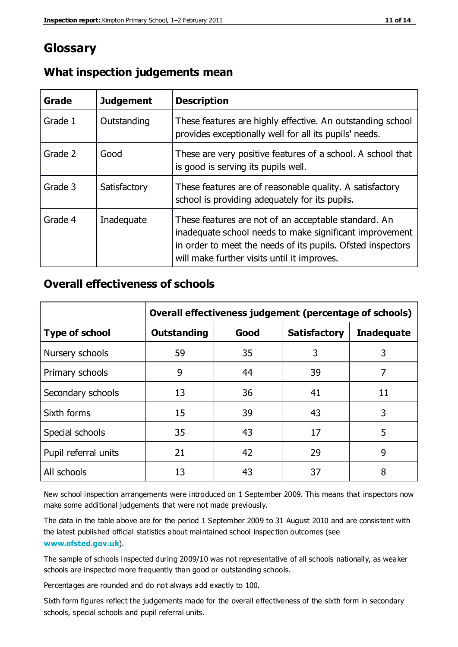# **Glossary**

| Grade   | <b>Judgement</b> | <b>Description</b>                                                                                                                                                                                                            |
|---------|------------------|-------------------------------------------------------------------------------------------------------------------------------------------------------------------------------------------------------------------------------|
| Grade 1 | Outstanding      | These features are highly effective. An outstanding school<br>provides exceptionally well for all its pupils' needs.                                                                                                          |
| Grade 2 | Good             | These are very positive features of a school. A school that<br>is good is serving its pupils well.                                                                                                                            |
| Grade 3 | Satisfactory     | These features are of reasonable quality. A satisfactory<br>school is providing adequately for its pupils.                                                                                                                    |
| Grade 4 | Inadequate       | These features are not of an acceptable standard. An<br>inadequate school needs to make significant improvement<br>in order to meet the needs of its pupils. Ofsted inspectors<br>will make further visits until it improves. |

### **What inspection judgements mean**

## **Overall effectiveness of schools**

|                       | Overall effectiveness judgement (percentage of schools) |      |                     |                   |
|-----------------------|---------------------------------------------------------|------|---------------------|-------------------|
| <b>Type of school</b> | <b>Outstanding</b>                                      | Good | <b>Satisfactory</b> | <b>Inadequate</b> |
| Nursery schools       | 59                                                      | 35   | 3                   | 3                 |
| Primary schools       | 9                                                       | 44   | 39                  | 7                 |
| Secondary schools     | 13                                                      | 36   | 41                  | 11                |
| Sixth forms           | 15                                                      | 39   | 43                  | 3                 |
| Special schools       | 35                                                      | 43   | 17                  | 5                 |
| Pupil referral units  | 21                                                      | 42   | 29                  | 9                 |
| All schools           | 13                                                      | 43   | 37                  | 8                 |

New school inspection arrangements were introduced on 1 September 2009. This means that inspectors now make some additional judgements that were not made previously.

The data in the table above are for the period 1 September 2009 to 31 August 2010 and are consistent with the latest published official statistics about maintained school inspec tion outcomes (see **[www.ofsted.gov.uk](http://www.ofsted.gov.uk/)**).

The sample of schools inspected during 2009/10 was not representative of all schools nationally, as weaker schools are inspected more frequently than good or outstanding schools.

Percentages are rounded and do not always add exactly to 100.

Sixth form figures reflect the judgements made for the overall effectiveness of the sixth form in secondary schools, special schools and pupil referral units.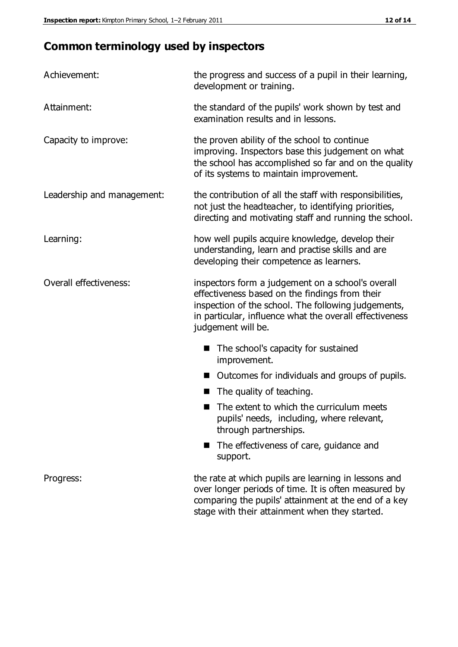# **Common terminology used by inspectors**

| Achievement:               | the progress and success of a pupil in their learning,<br>development or training.                                                                                                                                                          |  |  |
|----------------------------|---------------------------------------------------------------------------------------------------------------------------------------------------------------------------------------------------------------------------------------------|--|--|
| Attainment:                | the standard of the pupils' work shown by test and<br>examination results and in lessons.                                                                                                                                                   |  |  |
| Capacity to improve:       | the proven ability of the school to continue<br>improving. Inspectors base this judgement on what<br>the school has accomplished so far and on the quality<br>of its systems to maintain improvement.                                       |  |  |
| Leadership and management: | the contribution of all the staff with responsibilities,<br>not just the headteacher, to identifying priorities,<br>directing and motivating staff and running the school.                                                                  |  |  |
| Learning:                  | how well pupils acquire knowledge, develop their<br>understanding, learn and practise skills and are<br>developing their competence as learners.                                                                                            |  |  |
| Overall effectiveness:     | inspectors form a judgement on a school's overall<br>effectiveness based on the findings from their<br>inspection of the school. The following judgements,<br>in particular, influence what the overall effectiveness<br>judgement will be. |  |  |
|                            | The school's capacity for sustained<br>improvement.                                                                                                                                                                                         |  |  |
|                            | Outcomes for individuals and groups of pupils.                                                                                                                                                                                              |  |  |
|                            | The quality of teaching.                                                                                                                                                                                                                    |  |  |
|                            | The extent to which the curriculum meets<br>pupils' needs, including, where relevant,<br>through partnerships.                                                                                                                              |  |  |
|                            | The effectiveness of care, guidance and<br>support.                                                                                                                                                                                         |  |  |
| Progress:                  | the rate at which pupils are learning in lessons and<br>over longer periods of time. It is often measured by<br>comparing the pupils' attainment at the end of a key                                                                        |  |  |

stage with their attainment when they started.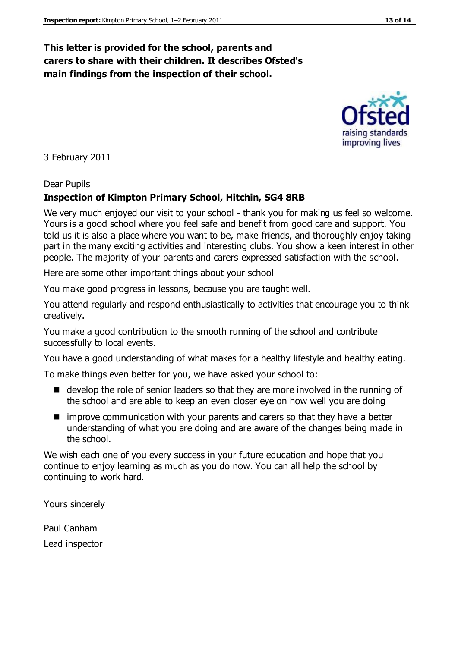## **This letter is provided for the school, parents and carers to share with their children. It describes Ofsted's main findings from the inspection of their school.**

3 February 2011

#### Dear Pupils

#### **Inspection of Kimpton Primary School, Hitchin, SG4 8RB**

We very much enjoyed our visit to your school - thank you for making us feel so welcome. Yours is a good school where you feel safe and benefit from good care and support. You told us it is also a place where you want to be, make friends, and thoroughly enjoy taking part in the many exciting activities and interesting clubs. You show a keen interest in other people. The majority of your parents and carers expressed satisfaction with the school.

Here are some other important things about your school

You make good progress in lessons, because you are taught well.

You attend regularly and respond enthusiastically to activities that encourage you to think creatively.

You make a good contribution to the smooth running of the school and contribute successfully to local events.

You have a good understanding of what makes for a healthy lifestyle and healthy eating.

To make things even better for you, we have asked your school to:

- develop the role of senior leaders so that they are more involved in the running of the school and are able to keep an even closer eye on how well you are doing
- **I** improve communication with your parents and carers so that they have a better understanding of what you are doing and are aware of the changes being made in the school.

We wish each one of you every success in your future education and hope that you continue to enjoy learning as much as you do now. You can all help the school by continuing to work hard.

Yours sincerely

Paul Canham Lead inspector